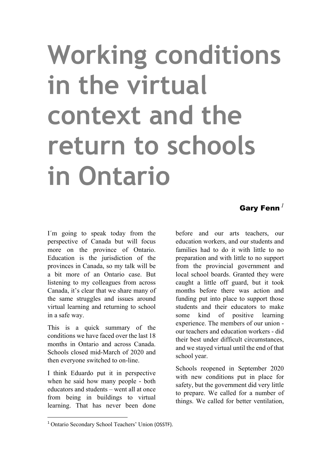## **Working conditions in the virtual context and the return to schools in Ontario**

## Gary Fenn*<sup>1</sup>*

I´m going to speak today from the perspective of Canada but will focus more on the province of Ontario. Education is the jurisdiction of the provinces in Canada, so my talk will be a bit more of an Ontario case. But listening to my colleagues from across Canada, it's clear that we share many of the same struggles and issues around virtual learning and returning to school in a safe way.

This is a quick summary of the conditions we have faced over the last 18 months in Ontario and across Canada. Schools closed mid-March of 2020 and then everyone switched to on-line.

I think Eduardo put it in perspective when he said how many people - both educators and students – went all at once from being in buildings to virtual learning. That has never been done before and our arts teachers, our education workers, and our students and families had to do it with little to no preparation and with little to no support from the provincial government and local school boards. Granted they were caught a little off guard, but it took months before there was action and funding put into place to support those students and their educators to make some kind of positive learning experience. The members of our union our teachers and education workers - did their best under difficult circumstances, and we stayed virtual until the end of that school year.

Schools reopened in September 2020 with new conditions put in place for safety, but the government did very little to prepare. We called for a number of things. We called for better ventilation,

<sup>&</sup>lt;sup>1</sup> Ontario Secondary School Teachers' Union (OSSTF).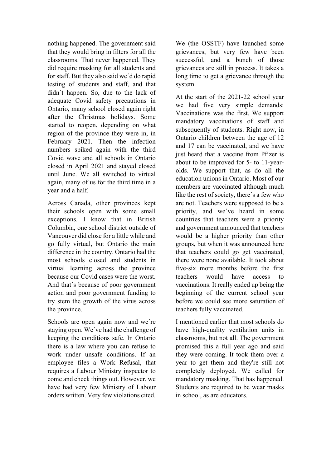nothing happened. The government said that they would bring in filters for all the classrooms. That never happened. They did require masking for all students and for staff. But they also said we´d do rapid testing of students and staff, and that didn´t happen. So, due to the lack of adequate Covid safety precautions in Ontario, many school closed again right after the Christmas holidays. Some started to reopen, depending on what region of the province they were in, in February 2021. Then the infection numbers spiked again with the third Covid wave and all schools in Ontario closed in April 2021 and stayed closed until June. We all switched to virtual again, many of us for the third time in a year and a half.

Across Canada, other provinces kept their schools open with some small exceptions. I know that in British Columbia, one school district outside of Vancouver did close for a little while and go fully virtual, but Ontario the main difference in the country. Ontario had the most schools closed and students in virtual learning across the province because our Covid cases were the worst. And that´s because of poor government action and poor government funding to try stem the growth of the virus across the province.

Schools are open again now and we´re staying open. We´ve had the challenge of keeping the conditions safe. In Ontario there is a law where you can refuse to work under unsafe conditions. If an employee files a Work Refusal, that requires a Labour Ministry inspector to come and check things out. However, we have had very few Ministry of Labour orders written. Very few violations cited. We (the OSSTF) have launched some grievances, but very few have been successful, and a bunch of those grievances are still in process. It takes a long time to get a grievance through the system.

At the start of the 2021-22 school year we had five very simple demands: Vaccinations was the first. We support mandatory vaccinations of staff and subsequently of students. Right now, in Ontario children between the age of 12 and 17 can be vaccinated, and we have just heard that a vaccine from Pfizer is about to be improved for 5- to 11-yearolds. We support that, as do all the education unions in Ontario. Most of our members are vaccinated although much like the rest of society, there´s a few who are not. Teachers were supposed to be a priority, and we´ve heard in some countries that teachers were a priority and government announced that teachers would be a higher priority than other groups, but when it was announced here that teachers could go get vaccinated, there were none available. It took about five-six more months before the first teachers would have access to vaccinations. It really ended up being the beginning of the current school year before we could see more saturation of teachers fully vaccinated.

I mentioned earlier that most schools do have high-quality ventilation units in classrooms, but not all. The government promised this a full year ago and said they were coming. It took them over a year to get them and they're still not completely deployed. We called for mandatory masking. That has happened. Students are required to be wear masks in school, as are educators.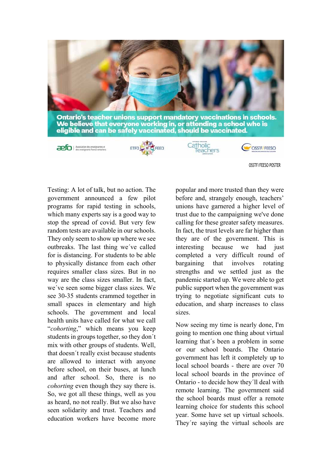

OSSTF/FEESO POSTER

Testing: A lot of talk, but no action. The government announced a few pilot programs for rapid testing in schools, which many experts say is a good way to stop the spread of covid. But very few random tests are available in our schools. They only seem to show up where we see outbreaks. The last thing we´ve called for is distancing. For students to be able to physically distance from each other requires smaller class sizes. But in no way are the class sizes smaller. In fact, we´ve seen some bigger class sizes. We see 30-35 students crammed together in small spaces in elementary and high schools. The government and local health units have called for what we call "*cohorting*," which means you keep students in groups together, so they don´t mix with other groups of students. Well, that doesn´t really exist because students are allowed to interact with anyone before school, on their buses, at lunch and after school. So, there is no *cohorting* even though they say there is. So, we got all these things, well as you as heard, no not really. But we also have seen solidarity and trust. Teachers and education workers have become more popular and more trusted than they were before and, strangely enough, teachers' unions have garnered a higher level of trust due to the campaigning we've done calling for these greater safety measures. In fact, the trust levels are far higher than they are of the government. This is interesting because we had just completed a very difficult round of bargaining that involves rotating strengths and we settled just as the pandemic started up. We were able to get public support when the government was trying to negotiate significant cuts to education, and sharp increases to class sizes.

Now seeing my time is nearly done, I'm going to mention one thing about virtual learning that´s been a problem in some or our school boards. The Ontario government has left it completely up to local school boards - there are over 70 local school boards in the province of Ontario - to decide how they´ll deal with remote learning. The government said the school boards must offer a remote learning choice for students this school year. Some have set up virtual schools. They´re saying the virtual schools are